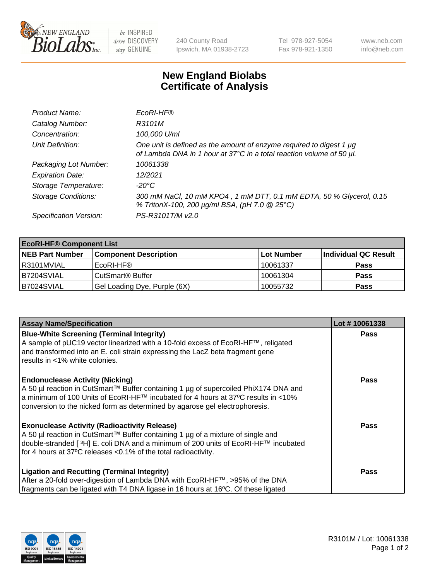

 $be$  INSPIRED drive DISCOVERY stay GENUINE

240 County Road Ipswich, MA 01938-2723 Tel 978-927-5054 Fax 978-921-1350 www.neb.com info@neb.com

## **New England Biolabs Certificate of Analysis**

| Product Name:              | EcoRI-HF®                                                                                                                                   |
|----------------------------|---------------------------------------------------------------------------------------------------------------------------------------------|
| Catalog Number:            | R3101M                                                                                                                                      |
| Concentration:             | 100,000 U/ml                                                                                                                                |
| Unit Definition:           | One unit is defined as the amount of enzyme required to digest 1 µg<br>of Lambda DNA in 1 hour at 37°C in a total reaction volume of 50 µl. |
| Packaging Lot Number:      | 10061338                                                                                                                                    |
| <b>Expiration Date:</b>    | 12/2021                                                                                                                                     |
| Storage Temperature:       | -20°C                                                                                                                                       |
| <b>Storage Conditions:</b> | 300 mM NaCl, 10 mM KPO4, 1 mM DTT, 0.1 mM EDTA, 50 % Glycerol, 0.15<br>% TritonX-100, 200 µg/ml BSA, (pH 7.0 @ 25°C)                        |
| Specification Version:     | PS-R3101T/M v2.0                                                                                                                            |

| <b>EcoRI-HF® Component List</b> |                              |            |                      |  |  |
|---------------------------------|------------------------------|------------|----------------------|--|--|
| <b>NEB Part Number</b>          | <b>Component Description</b> | Lot Number | Individual QC Result |  |  |
| I R3101MVIAL                    | EcoRI-HF®                    | 10061337   | <b>Pass</b>          |  |  |
| IB7204SVIAL                     | CutSmart <sup>®</sup> Buffer | 10061304   | <b>Pass</b>          |  |  |
| B7024SVIAL                      | Gel Loading Dye, Purple (6X) | 10055732   | <b>Pass</b>          |  |  |

| <b>Assay Name/Specification</b>                                                                                                                                           | Lot #10061338 |
|---------------------------------------------------------------------------------------------------------------------------------------------------------------------------|---------------|
| <b>Blue-White Screening (Terminal Integrity)</b>                                                                                                                          | <b>Pass</b>   |
| A sample of pUC19 vector linearized with a 10-fold excess of EcoRI-HF™, religated<br>and transformed into an E. coli strain expressing the LacZ beta fragment gene        |               |
| results in <1% white colonies.                                                                                                                                            |               |
| <b>Endonuclease Activity (Nicking)</b>                                                                                                                                    | <b>Pass</b>   |
| A 50 µl reaction in CutSmart™ Buffer containing 1 µg of supercoiled PhiX174 DNA and<br> a minimum of 100 Units of EcoRI-HF™ incubated for 4 hours at 37°C results in <10% |               |
| conversion to the nicked form as determined by agarose gel electrophoresis.                                                                                               |               |
| <b>Exonuclease Activity (Radioactivity Release)</b>                                                                                                                       | Pass          |
| A 50 µl reaction in CutSmart™ Buffer containing 1 µg of a mixture of single and                                                                                           |               |
| double-stranded [ <sup>3</sup> H] E. coli DNA and a minimum of 200 units of EcoRI-HF™ incubated<br>for 4 hours at 37°C releases <0.1% of the total radioactivity.         |               |
|                                                                                                                                                                           |               |
| <b>Ligation and Recutting (Terminal Integrity)</b>                                                                                                                        | <b>Pass</b>   |
| After a 20-fold over-digestion of Lambda DNA with EcoRI-HF™, >95% of the DNA                                                                                              |               |
| fragments can be ligated with T4 DNA ligase in 16 hours at 16°C. Of these ligated                                                                                         |               |